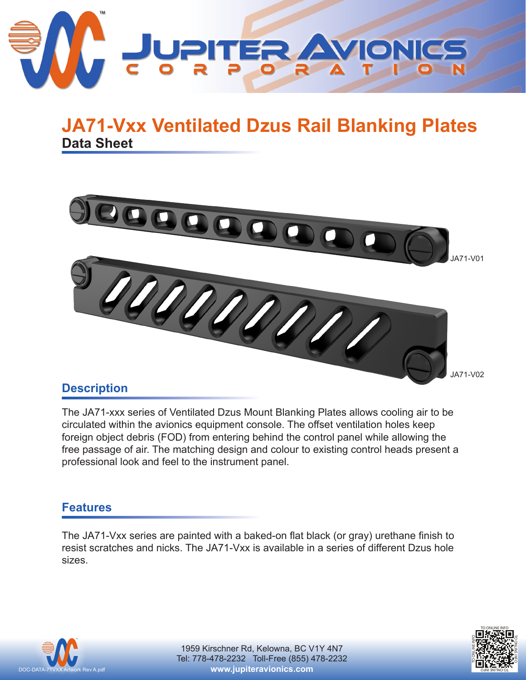

# **Data Sheet JA71-Vxx Ventilated Dzus Rail Blanking Plates**



### **Description**

The JA71-xxx series of Ventilated Dzus Mount Blanking Plates allows cooling air to be circulated within the avionics equipment console. The offset ventilation holes keep foreign object debris (FOD) from entering behind the control panel while allowing the free passage of air. The matching design and colour to existing control heads present a professional look and feel to the instrument panel.

#### **Features**

The JA71-Vxx series are painted with a baked-on flat black (or gray) urethane finish to resist scratches and nicks. The JA71-Vxx is available in a series of different Dzus hole sizes.